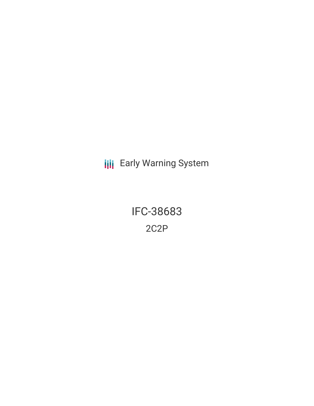**III** Early Warning System

IFC-38683 2C2P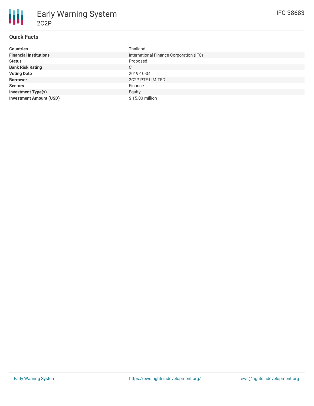# **Quick Facts**

2C2P

| <b>Countries</b>               | Thailand                                |  |  |  |
|--------------------------------|-----------------------------------------|--|--|--|
| <b>Financial Institutions</b>  | International Finance Corporation (IFC) |  |  |  |
| <b>Status</b>                  | Proposed                                |  |  |  |
| <b>Bank Risk Rating</b>        | C                                       |  |  |  |
| <b>Voting Date</b>             | 2019-10-04                              |  |  |  |
| <b>Borrower</b>                | <b>2C2P PTE LIMITED</b>                 |  |  |  |
| <b>Sectors</b>                 | Finance                                 |  |  |  |
| <b>Investment Type(s)</b>      | Equity                                  |  |  |  |
| <b>Investment Amount (USD)</b> | \$15.00 million                         |  |  |  |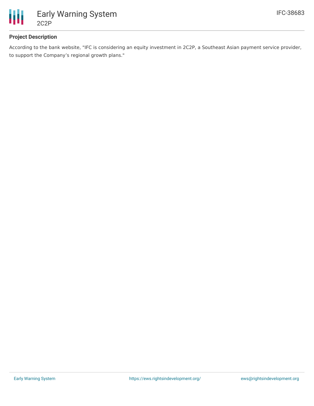

## **Project Description**

According to the bank website, "IFC is considering an equity investment in 2C2P, a Southeast Asian payment service provider, to support the Company's regional growth plans."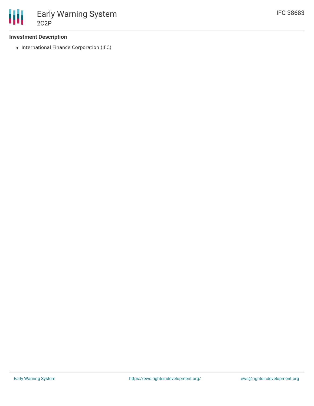

### **Investment Description**

• International Finance Corporation (IFC)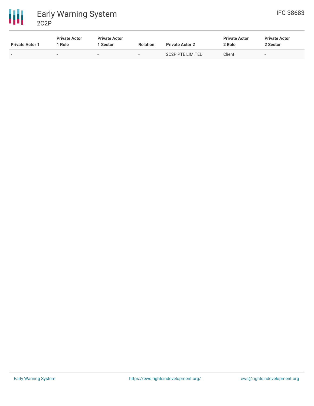

冊 Early Warning System 2C2P

| <b>Private Actor 1</b> | <b>Private Actor</b><br>l Role. | <b>Private Actor</b><br>Sector | <b>Relation</b>          | <b>Private Actor 2</b> | <b>Private Actor</b><br>2 Role | <b>Private Actor</b><br>2 Sector |
|------------------------|---------------------------------|--------------------------------|--------------------------|------------------------|--------------------------------|----------------------------------|
| -                      |                                 | $\overline{\phantom{0}}$       | $\overline{\phantom{a}}$ | 2C2P PTE LIMITED       | Client                         | $\sim$                           |